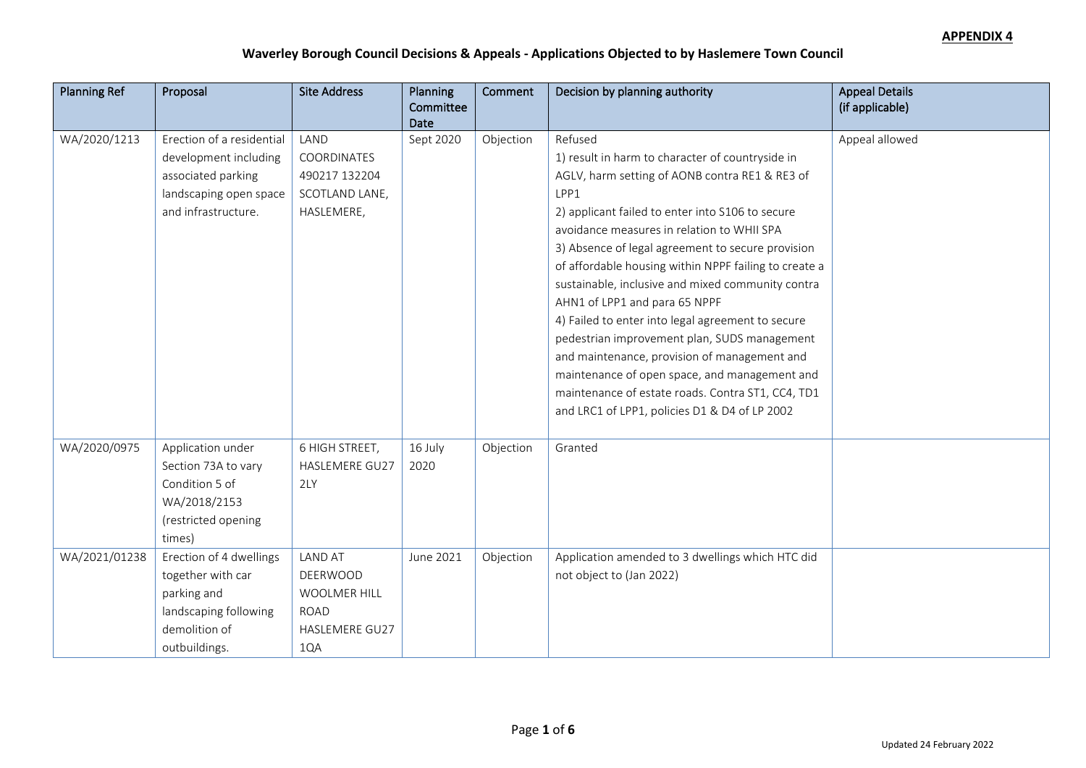| <b>Planning Ref</b> | Proposal                  | <b>Site Address</b>   | <b>Planning</b><br>Committee | Comment   | Decision by planning authority                        | <b>Appeal Details</b><br>(if applicable) |
|---------------------|---------------------------|-----------------------|------------------------------|-----------|-------------------------------------------------------|------------------------------------------|
| WA/2020/1213        | Erection of a residential | LAND                  | Date<br>Sept 2020            |           | Refused                                               | Appeal allowed                           |
|                     | development including     | COORDINATES           |                              | Objection | 1) result in harm to character of countryside in      |                                          |
|                     | associated parking        | 490217 132204         |                              |           | AGLV, harm setting of AONB contra RE1 & RE3 of        |                                          |
|                     | landscaping open space    | SCOTLAND LANE,        |                              |           | LPP1                                                  |                                          |
|                     | and infrastructure.       | HASLEMERE,            |                              |           | 2) applicant failed to enter into S106 to secure      |                                          |
|                     |                           |                       |                              |           | avoidance measures in relation to WHII SPA            |                                          |
|                     |                           |                       |                              |           | 3) Absence of legal agreement to secure provision     |                                          |
|                     |                           |                       |                              |           | of affordable housing within NPPF failing to create a |                                          |
|                     |                           |                       |                              |           | sustainable, inclusive and mixed community contra     |                                          |
|                     |                           |                       |                              |           | AHN1 of LPP1 and para 65 NPPF                         |                                          |
|                     |                           |                       |                              |           | 4) Failed to enter into legal agreement to secure     |                                          |
|                     |                           |                       |                              |           | pedestrian improvement plan, SUDS management          |                                          |
|                     |                           |                       |                              |           | and maintenance, provision of management and          |                                          |
|                     |                           |                       |                              |           | maintenance of open space, and management and         |                                          |
|                     |                           |                       |                              |           | maintenance of estate roads. Contra ST1, CC4, TD1     |                                          |
|                     |                           |                       |                              |           | and LRC1 of LPP1, policies D1 & D4 of LP 2002         |                                          |
|                     |                           |                       |                              |           |                                                       |                                          |
| WA/2020/0975        | Application under         | 6 HIGH STREET,        | 16 July                      | Objection | Granted                                               |                                          |
|                     | Section 73A to vary       | <b>HASLEMERE GU27</b> | 2020                         |           |                                                       |                                          |
|                     | Condition 5 of            | 2LY                   |                              |           |                                                       |                                          |
|                     | WA/2018/2153              |                       |                              |           |                                                       |                                          |
|                     | (restricted opening       |                       |                              |           |                                                       |                                          |
|                     | times)                    |                       |                              |           |                                                       |                                          |
| WA/2021/01238       | Erection of 4 dwellings   | <b>LAND AT</b>        | June 2021                    | Objection | Application amended to 3 dwellings which HTC did      |                                          |
|                     | together with car         | DEERWOOD              |                              |           | not object to (Jan 2022)                              |                                          |
|                     | parking and               | <b>WOOLMER HILL</b>   |                              |           |                                                       |                                          |
|                     | landscaping following     | <b>ROAD</b>           |                              |           |                                                       |                                          |
|                     | demolition of             | HASLEMERE GU27        |                              |           |                                                       |                                          |
|                     | outbuildings.             | 1QA                   |                              |           |                                                       |                                          |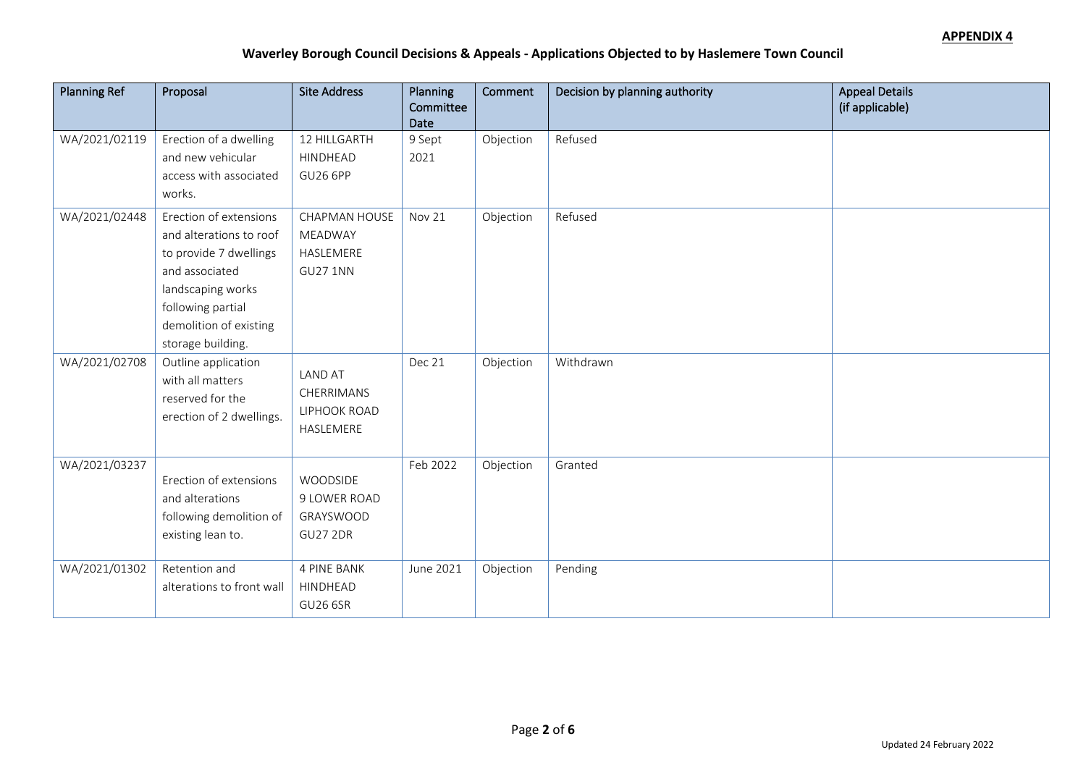| <b>Planning Ref</b> | Proposal                                                                                                                                                                               | <b>Site Address</b>                                       | Planning<br>Committee | Comment   | Decision by planning authority | <b>Appeal Details</b><br>(if applicable) |
|---------------------|----------------------------------------------------------------------------------------------------------------------------------------------------------------------------------------|-----------------------------------------------------------|-----------------------|-----------|--------------------------------|------------------------------------------|
|                     |                                                                                                                                                                                        |                                                           | Date                  |           |                                |                                          |
| WA/2021/02119       | Erection of a dwelling<br>and new vehicular<br>access with associated<br>works.                                                                                                        | 12 HILLGARTH<br>HINDHEAD<br><b>GU26 6PP</b>               | 9 Sept<br>2021        | Objection | Refused                        |                                          |
| WA/2021/02448       | Erection of extensions<br>and alterations to roof<br>to provide 7 dwellings<br>and associated<br>landscaping works<br>following partial<br>demolition of existing<br>storage building. | CHAPMAN HOUSE<br>MEADWAY<br>HASLEMERE<br><b>GU27 1NN</b>  | Nov 21                | Objection | Refused                        |                                          |
| WA/2021/02708       | Outline application<br>with all matters<br>reserved for the<br>erection of 2 dwellings.                                                                                                | <b>LAND AT</b><br>CHERRIMANS<br>LIPHOOK ROAD<br>HASLEMERE | Dec 21                | Objection | Withdrawn                      |                                          |
| WA/2021/03237       | Erection of extensions<br>and alterations<br>following demolition of<br>existing lean to.                                                                                              | WOODSIDE<br>9 LOWER ROAD<br>GRAYSWOOD<br><b>GU27 2DR</b>  | Feb 2022              | Objection | Granted                        |                                          |
| WA/2021/01302       | Retention and<br>alterations to front wall                                                                                                                                             | <b>4 PINE BANK</b><br>HINDHEAD<br><b>GU26 6SR</b>         | June 2021             | Objection | Pending                        |                                          |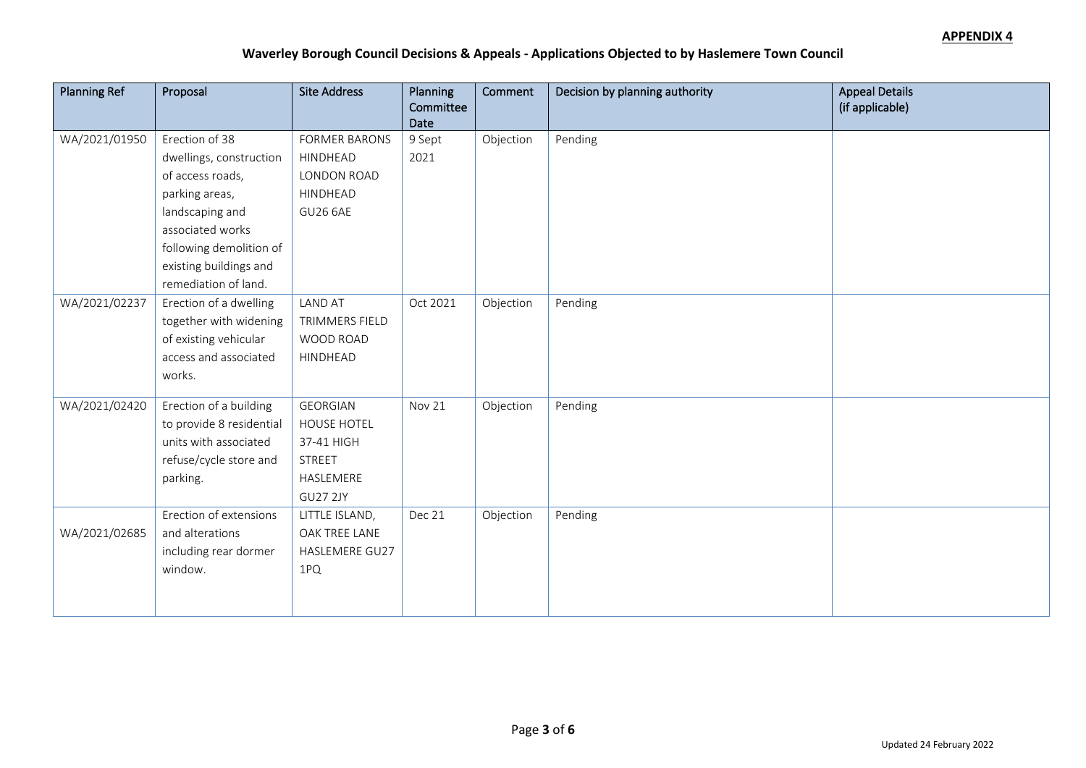| <b>Planning Ref</b> | Proposal                 | <b>Site Address</b>  | Planning<br>Committee | Comment   | Decision by planning authority | <b>Appeal Details</b><br>(if applicable) |
|---------------------|--------------------------|----------------------|-----------------------|-----------|--------------------------------|------------------------------------------|
|                     |                          |                      | Date                  |           |                                |                                          |
| WA/2021/01950       | Erection of 38           | <b>FORMER BARONS</b> | 9 Sept                | Objection | Pending                        |                                          |
|                     | dwellings, construction  | HINDHEAD             | 2021                  |           |                                |                                          |
|                     | of access roads,         | LONDON ROAD          |                       |           |                                |                                          |
|                     | parking areas,           | HINDHEAD             |                       |           |                                |                                          |
|                     | landscaping and          | <b>GU26 6AE</b>      |                       |           |                                |                                          |
|                     | associated works         |                      |                       |           |                                |                                          |
|                     | following demolition of  |                      |                       |           |                                |                                          |
|                     | existing buildings and   |                      |                       |           |                                |                                          |
|                     | remediation of land.     |                      |                       |           |                                |                                          |
| WA/2021/02237       | Erection of a dwelling   | <b>LAND AT</b>       | Oct 2021              | Objection | Pending                        |                                          |
|                     | together with widening   | TRIMMERS FIELD       |                       |           |                                |                                          |
|                     | of existing vehicular    | WOOD ROAD            |                       |           |                                |                                          |
|                     | access and associated    | HINDHEAD             |                       |           |                                |                                          |
|                     | works.                   |                      |                       |           |                                |                                          |
| WA/2021/02420       | Erection of a building   | <b>GEORGIAN</b>      | Nov 21                | Objection | Pending                        |                                          |
|                     | to provide 8 residential | HOUSE HOTEL          |                       |           |                                |                                          |
|                     | units with associated    | 37-41 HIGH           |                       |           |                                |                                          |
|                     | refuse/cycle store and   | <b>STREET</b>        |                       |           |                                |                                          |
|                     | parking.                 | HASLEMERE            |                       |           |                                |                                          |
|                     |                          | GU27 2JY             |                       |           |                                |                                          |
|                     | Erection of extensions   | LITTLE ISLAND,       | Dec 21                | Objection | Pending                        |                                          |
| WA/2021/02685       | and alterations          | OAK TREE LANE        |                       |           |                                |                                          |
|                     | including rear dormer    | HASLEMERE GU27       |                       |           |                                |                                          |
|                     | window.                  | 1PQ                  |                       |           |                                |                                          |
|                     |                          |                      |                       |           |                                |                                          |
|                     |                          |                      |                       |           |                                |                                          |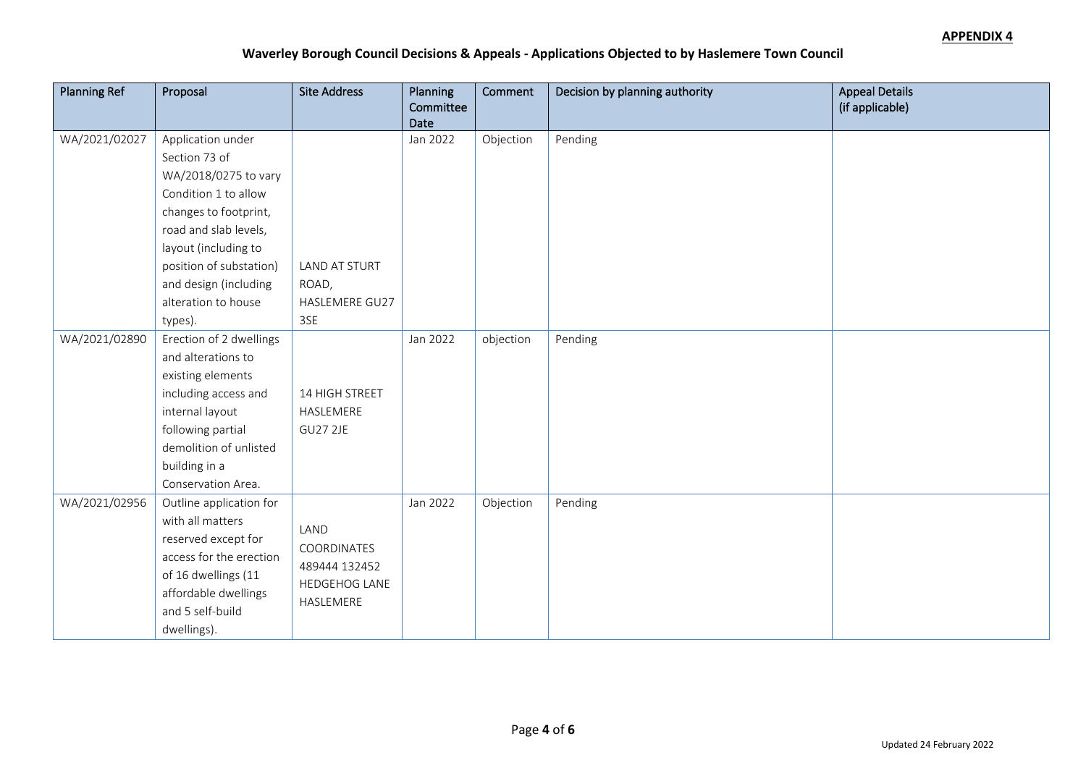| <b>Planning Ref</b> | Proposal                | <b>Site Address</b> | Planning  | Comment   | Decision by planning authority | <b>Appeal Details</b> |
|---------------------|-------------------------|---------------------|-----------|-----------|--------------------------------|-----------------------|
|                     |                         |                     | Committee |           |                                | (if applicable)       |
|                     |                         |                     | Date      |           |                                |                       |
| WA/2021/02027       | Application under       |                     | Jan 2022  | Objection | Pending                        |                       |
|                     | Section 73 of           |                     |           |           |                                |                       |
|                     | WA/2018/0275 to vary    |                     |           |           |                                |                       |
|                     | Condition 1 to allow    |                     |           |           |                                |                       |
|                     | changes to footprint,   |                     |           |           |                                |                       |
|                     | road and slab levels,   |                     |           |           |                                |                       |
|                     | layout (including to    |                     |           |           |                                |                       |
|                     | position of substation) | LAND AT STURT       |           |           |                                |                       |
|                     | and design (including   | ROAD,               |           |           |                                |                       |
|                     | alteration to house     | HASLEMERE GU27      |           |           |                                |                       |
|                     | types).                 | 3SE                 |           |           |                                |                       |
| WA/2021/02890       | Erection of 2 dwellings |                     | Jan 2022  | objection | Pending                        |                       |
|                     | and alterations to      |                     |           |           |                                |                       |
|                     | existing elements       |                     |           |           |                                |                       |
|                     | including access and    | 14 HIGH STREET      |           |           |                                |                       |
|                     | internal layout         | HASLEMERE           |           |           |                                |                       |
|                     | following partial       | <b>GU27 2JE</b>     |           |           |                                |                       |
|                     | demolition of unlisted  |                     |           |           |                                |                       |
|                     | building in a           |                     |           |           |                                |                       |
|                     | Conservation Area.      |                     |           |           |                                |                       |
| WA/2021/02956       | Outline application for |                     | Jan 2022  | Objection | Pending                        |                       |
|                     | with all matters        |                     |           |           |                                |                       |
|                     | reserved except for     | LAND                |           |           |                                |                       |
|                     | access for the erection | COORDINATES         |           |           |                                |                       |
|                     | of 16 dwellings (11     | 489444 132452       |           |           |                                |                       |
|                     | affordable dwellings    | HEDGEHOG LANE       |           |           |                                |                       |
|                     | and 5 self-build        | HASLEMERE           |           |           |                                |                       |
|                     | dwellings).             |                     |           |           |                                |                       |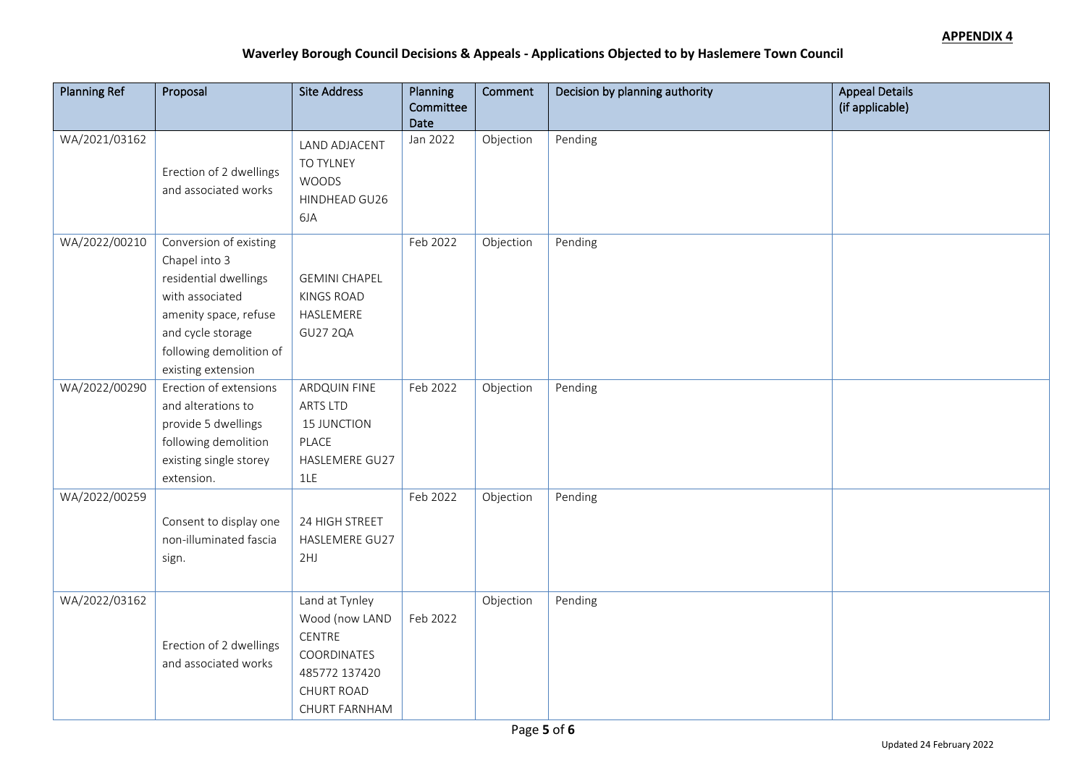| <b>Planning Ref</b> | Proposal                                                                                                                                                                           | <b>Site Address</b>                                                                                              | Planning<br>Committee<br>Date | Comment   | Decision by planning authority | <b>Appeal Details</b><br>(if applicable) |
|---------------------|------------------------------------------------------------------------------------------------------------------------------------------------------------------------------------|------------------------------------------------------------------------------------------------------------------|-------------------------------|-----------|--------------------------------|------------------------------------------|
| WA/2021/03162       | Erection of 2 dwellings<br>and associated works                                                                                                                                    | LAND ADJACENT<br>TO TYLNEY<br><b>WOODS</b><br>HINDHEAD GU26<br>6JA                                               | Jan 2022                      | Objection | Pending                        |                                          |
| WA/2022/00210       | Conversion of existing<br>Chapel into 3<br>residential dwellings<br>with associated<br>amenity space, refuse<br>and cycle storage<br>following demolition of<br>existing extension | <b>GEMINI CHAPEL</b><br><b>KINGS ROAD</b><br>HASLEMERE<br><b>GU27 2QA</b>                                        | Feb 2022                      | Objection | Pending                        |                                          |
| WA/2022/00290       | Erection of extensions<br>and alterations to<br>provide 5 dwellings<br>following demolition<br>existing single storey<br>extension.                                                | ARDQUIN FINE<br><b>ARTS LTD</b><br><b>15 JUNCTION</b><br>PLACE<br>HASLEMERE GU27<br>1LE                          | Feb 2022                      | Objection | Pending                        |                                          |
| WA/2022/00259       | Consent to display one<br>non-illuminated fascia<br>sign.                                                                                                                          | 24 HIGH STREET<br>HASLEMERE GU27<br>2HJ                                                                          | Feb 2022                      | Objection | Pending                        |                                          |
| WA/2022/03162       | Erection of 2 dwellings<br>and associated works                                                                                                                                    | Land at Tynley<br>Wood (now LAND<br>CENTRE<br>COORDINATES<br>485772 137420<br><b>CHURT ROAD</b><br>CHURT FARNHAM | Feb 2022                      | Objection | Pending                        |                                          |